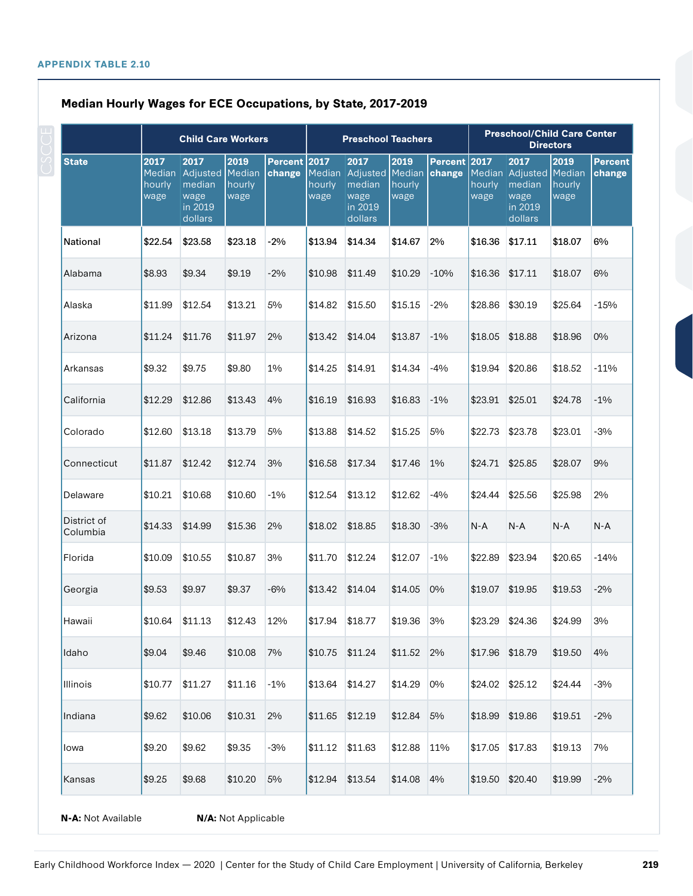|                         |                        | <b>Child Care Workers</b>                                              |                        |                        |                          | <b>Preschool Teachers</b>                                       |                        |                        |                | <b>Preschool/Child Care Center</b><br><b>Directors</b>                 |                        |                          |  |
|-------------------------|------------------------|------------------------------------------------------------------------|------------------------|------------------------|--------------------------|-----------------------------------------------------------------|------------------------|------------------------|----------------|------------------------------------------------------------------------|------------------------|--------------------------|--|
| <b>State</b>            | 2017<br>hourly<br>wage | 2017<br>Median Adjusted Median<br>median<br>wage<br>in 2019<br>dollars | 2019<br>hourly<br>wage | Percent 2017<br>change | Median<br>hourly<br>wage | 2017<br>Adjusted Median<br>median<br>wage<br>in 2019<br>dollars | 2019<br>hourly<br>wage | Percent 2017<br>change | hourly<br>wage | 2017<br>Median Adjusted Median<br>median<br>wage<br>in 2019<br>dollars | 2019<br>hourly<br>wage | <b>Percent</b><br>change |  |
| <b>National</b>         | \$22.54                | \$23.58                                                                | \$23.18                | $-2%$                  | \$13.94                  | \$14.34                                                         | \$14.67                | 2%                     | \$16.36        | \$17.11                                                                | \$18.07                | 6%                       |  |
| Alabama                 | \$8.93                 | \$9.34                                                                 | \$9.19                 | $-2%$                  | \$10.98                  | \$11.49                                                         | \$10.29                | $-10%$                 | \$16.36        | \$17.11                                                                | \$18.07                | 6%                       |  |
| Alaska                  | \$11.99                | \$12.54                                                                | \$13.21                | 5%                     | \$14.82                  | \$15.50                                                         | \$15.15                | $-2\%$                 | \$28.86        | \$30.19                                                                | \$25.64                | $-15%$                   |  |
| Arizona                 | \$11.24                | \$11.76                                                                | \$11.97                | 2%                     | \$13.42                  | \$14.04                                                         | \$13.87                | $-1\%$                 | \$18.05        | \$18.88                                                                | \$18.96                | $0\%$                    |  |
| Arkansas                | \$9.32                 | \$9.75                                                                 | \$9.80                 | 1%                     | \$14.25                  | \$14.91                                                         | \$14.34                | $-4\%$                 | \$19.94        | \$20.86                                                                | \$18.52                | $-11%$                   |  |
| California              | \$12.29                | \$12.86                                                                | \$13.43                | 4%                     | \$16.19                  | \$16.93                                                         | \$16.83                | $-1\%$                 | \$23.91        | \$25.01                                                                | \$24.78                | $-1\%$                   |  |
| Colorado                | \$12.60                | \$13.18                                                                | \$13.79                | 5%                     | \$13.88                  | \$14.52                                                         | \$15.25                | 5%                     | \$22.73        | \$23.78                                                                | \$23.01                | $-3%$                    |  |
| Connecticut             | \$11.87                | \$12.42                                                                | \$12.74                | 3%                     | \$16.58                  | \$17.34                                                         | \$17.46                | $1\%$                  | \$24.71        | \$25.85                                                                | \$28.07                | 9%                       |  |
| Delaware                | \$10.21                | \$10.68                                                                | \$10.60                | $-1\%$                 | \$12.54                  | \$13.12                                                         | \$12.62                | -4%                    | \$24.44        | \$25.56                                                                | \$25.98                | 2%                       |  |
| District of<br>Columbia | \$14.33                | \$14.99                                                                | \$15.36                | 2%                     | \$18.02                  | \$18.85                                                         | \$18.30                | $-3%$                  | $N-A$          | $N-A$                                                                  | $N-A$                  | $N-A$                    |  |
| Florida                 | \$10.09                | \$10.55                                                                | \$10.87                | 3%                     | \$11.70                  | \$12.24                                                         | \$12.07                | $-1\%$                 | \$22.89        | \$23.94                                                                | \$20.65                | $-14%$                   |  |
| Georgia                 | \$9.53                 | \$9.97                                                                 | \$9.37                 | $-6%$                  | \$13.42                  | \$14.04                                                         | \$14.05                | $0\%$                  | \$19.07        | \$19.95                                                                | \$19.53                | $-2%$                    |  |
| Hawaii                  | \$10.64                | \$11.13                                                                | \$12.43                | 12%                    | \$17.94                  | \$18.77                                                         | \$19.36                | 3%                     | \$23.29        | \$24.36                                                                | \$24.99                | 3%                       |  |
| Idaho                   | \$9.04                 | \$9.46                                                                 | \$10.08                | 7%                     | \$10.75                  | \$11.24                                                         | \$11.52                | 2%                     | \$17.96        | \$18.79                                                                | \$19.50                | 4%                       |  |
| Illinois                | \$10.77                | \$11.27                                                                | \$11.16                | $-1\%$                 | \$13.64                  | \$14.27                                                         | \$14.29                | $0\%$                  | \$24.02        | \$25.12                                                                | \$24.44                | $-3%$                    |  |
| Indiana                 | \$9.62                 | \$10.06                                                                | \$10.31                | 2%                     | \$11.65                  | \$12.19                                                         | \$12.84                | 5%                     | \$18.99        | \$19.86                                                                | \$19.51                | $-2%$                    |  |
| lowa                    | \$9.20                 | \$9.62                                                                 | \$9.35                 | $-3%$                  | \$11.12                  | \$11.63                                                         | \$12.88                | 11%                    | \$17.05        | \$17.83                                                                | \$19.13                | 7%                       |  |
| Kansas                  | \$9.25                 | \$9.68                                                                 | \$10.20                | 5%                     | \$12.94                  | \$13.54                                                         | \$14.08                | 4%                     | \$19.50        | \$20.40                                                                | \$19.99                | $-2%$                    |  |

**N-A:** Not Available **N/A:** Not Applicable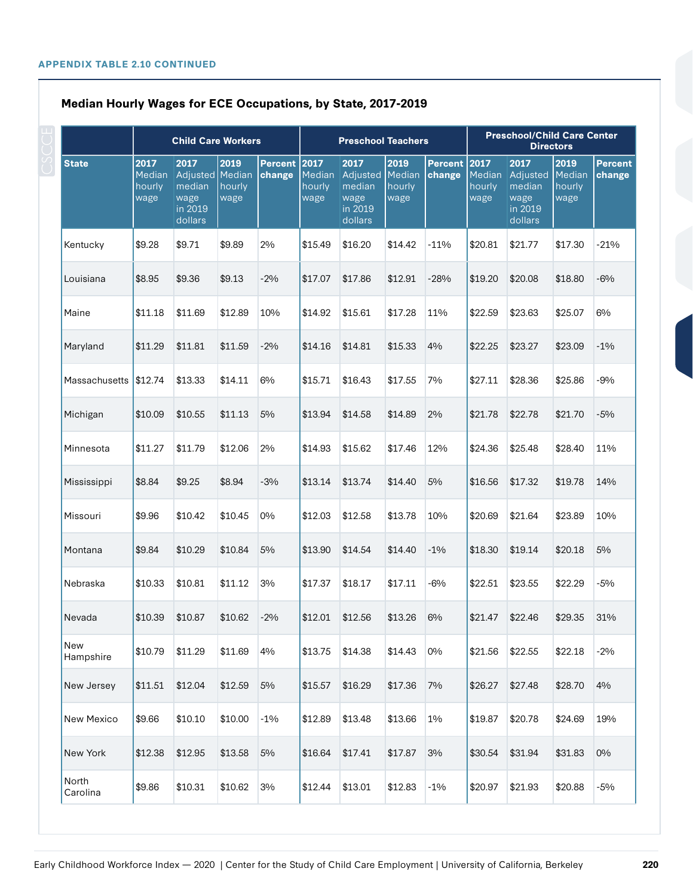|                   |                                  | <b>Child Care Workers</b>                                       |                        |                        |                          | <b>Preschool Teachers</b>                                |                                  |                          |                                  |                                                             | <b>Preschool/Child Care Center</b><br><b>Directors</b> |                          |  |
|-------------------|----------------------------------|-----------------------------------------------------------------|------------------------|------------------------|--------------------------|----------------------------------------------------------|----------------------------------|--------------------------|----------------------------------|-------------------------------------------------------------|--------------------------------------------------------|--------------------------|--|
| <b>State</b>      | 2017<br>Median<br>hourly<br>wage | 2017<br>Adjusted Median<br>median<br>wage<br>in 2019<br>dollars | 2019<br>hourly<br>wage | Percent 2017<br>change | Median<br>hourly<br>wage | 2017<br>Adjusted<br>median<br>wage<br>in 2019<br>dollars | 2019<br>Median<br>hourly<br>wage | <b>Percent</b><br>change | 2017<br>Median<br>hourly<br>wage | 2017<br>Adjusted<br>$me$ dian<br>wage<br>in 2019<br>dollars | 2019<br>Median<br>hourly<br>wage                       | <b>Percent</b><br>change |  |
| Kentucky          | \$9.28                           | \$9.71                                                          | \$9.89                 | 2%                     | \$15.49                  | \$16.20                                                  | \$14.42                          | $-11%$                   | \$20.81                          | \$21.77                                                     | \$17.30                                                | $-21%$                   |  |
| Louisiana         | \$8.95                           | \$9.36                                                          | \$9.13                 | $-2\%$                 | \$17.07                  | \$17.86                                                  | \$12.91                          | $-28%$                   | \$19.20                          | \$20.08                                                     | \$18.80                                                | $-6%$                    |  |
| Maine             | \$11.18                          | \$11.69                                                         | \$12.89                | 10%                    | \$14.92                  | \$15.61                                                  | \$17.28                          | 11%                      | \$22.59                          | \$23.63                                                     | \$25.07                                                | 6%                       |  |
| Maryland          | \$11.29                          | \$11.81                                                         | \$11.59                | $-2\%$                 | \$14.16                  | \$14.81                                                  | \$15.33                          | 4%                       | \$22.25                          | \$23.27                                                     | \$23.09                                                | $-1\%$                   |  |
| Massachusetts     | \$12.74                          | \$13.33                                                         | \$14.11                | 6%                     | \$15.71                  | \$16.43                                                  | \$17.55                          | 7%                       | \$27.11                          | \$28.36                                                     | \$25.86                                                | $-9%$                    |  |
| Michigan          | \$10.09                          | \$10.55                                                         | \$11.13                | 5%                     | \$13.94                  | \$14.58                                                  | \$14.89                          | 2%                       | \$21.78                          | \$22.78                                                     | \$21.70                                                | $-5%$                    |  |
| Minnesota         | \$11.27                          | \$11.79                                                         | \$12.06                | 2%                     | \$14.93                  | \$15.62                                                  | \$17.46                          | 12%                      | \$24.36                          | \$25.48                                                     | \$28.40                                                | 11%                      |  |
| Mississippi       | \$8.84                           | \$9.25                                                          | \$8.94                 | $-3%$                  | \$13.14                  | \$13.74                                                  | \$14.40                          | 5%                       | \$16.56                          | \$17.32                                                     | \$19.78                                                | 14%                      |  |
| Missouri          | \$9.96                           | \$10.42                                                         | \$10.45                | 0%                     | \$12.03                  | \$12.58                                                  | \$13.78                          | 10%                      | \$20.69                          | \$21.64                                                     | \$23.89                                                | 10%                      |  |
| Montana           | \$9.84                           | \$10.29                                                         | \$10.84                | 5%                     | \$13.90                  | \$14.54                                                  | \$14.40                          | $-1\%$                   | \$18.30                          | \$19.14                                                     | \$20.18                                                | 5%                       |  |
| Nebraska          | \$10.33                          | \$10.81                                                         | \$11.12                | 3%                     | \$17.37                  | \$18.17                                                  | \$17.11                          | $-6%$                    | \$22.51                          | \$23.55                                                     | \$22.29                                                | $-5%$                    |  |
| Nevada            | \$10.39                          | \$10.87                                                         | \$10.62                | $-2%$                  | \$12.01                  | \$12.56                                                  | \$13.26                          | 6%                       | \$21.47                          | \$22.46                                                     | \$29.35                                                | 31%                      |  |
| New<br>Hampshire  | \$10.79                          | \$11.29                                                         | \$11.69                | 4%                     | \$13.75                  | \$14.38                                                  | \$14.43                          | 0%                       | \$21.56                          | \$22.55                                                     | \$22.18                                                | $-2%$                    |  |
| New Jersey        | \$11.51                          | \$12.04                                                         | \$12.59                | $5\%$                  | \$15.57                  | \$16.29                                                  | \$17.36                          | 7%                       | \$26.27                          | \$27.48                                                     | \$28.70                                                | 4%                       |  |
| New Mexico        | \$9.66                           | \$10.10                                                         | \$10.00                | $-1\%$                 | \$12.89                  | \$13.48                                                  | \$13.66                          | 1%                       | \$19.87                          | \$20.78                                                     | \$24.69                                                | 19%                      |  |
| New York          | \$12.38                          | \$12.95                                                         | \$13.58                | $5\%$                  | \$16.64                  | \$17.41                                                  | \$17.87                          | 3%                       | \$30.54                          | \$31.94                                                     | \$31.83                                                | 0%                       |  |
| North<br>Carolina | \$9.86                           | \$10.31                                                         | \$10.62                | 3%                     | \$12.44                  | \$13.01                                                  | \$12.83                          | $-1\%$                   | \$20.97                          | \$21.93                                                     | \$20.88                                                | $-5%$                    |  |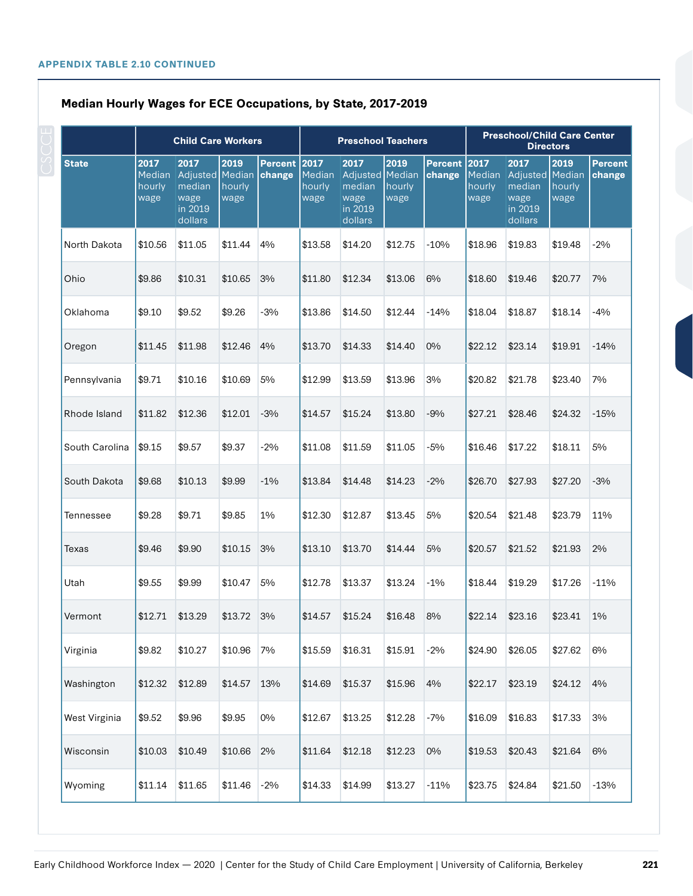|                |                                  | <b>Child Care Workers</b>                                       |                        |                        |                          | <b>Preschool Teachers</b>                                       |                        |                                       |                                  |                                                          | <b>Preschool/Child Care Center</b><br><b>Directors</b> |                          |  |
|----------------|----------------------------------|-----------------------------------------------------------------|------------------------|------------------------|--------------------------|-----------------------------------------------------------------|------------------------|---------------------------------------|----------------------------------|----------------------------------------------------------|--------------------------------------------------------|--------------------------|--|
| <b>State</b>   | 2017<br>Median<br>hourly<br>wage | 2017<br>Adjusted Median<br>median<br>wage<br>in 2019<br>dollars | 2019<br>hourly<br>wage | Percent 2017<br>change | Median<br>hourly<br>wage | 2017<br>Adjusted Median<br>median<br>wage<br>in 2019<br>dollars | 2019<br>hourly<br>wage | <b>Percent</b><br>  <sub>change</sub> | 2017<br>Median<br>hourly<br>wage | 2017<br>Adjusted<br>median<br>wage<br>in 2019<br>dollars | 2019<br>Median<br>hourly<br>wage                       | <b>Percent</b><br>change |  |
| North Dakota   | \$10.56                          | \$11.05                                                         | \$11.44                | 4%                     | \$13.58                  | \$14.20                                                         | \$12.75                | $-10%$                                | \$18.96                          | \$19.83                                                  | \$19.48                                                | $-2\%$                   |  |
| Ohio           | \$9.86                           | \$10.31                                                         | \$10.65                | 3%                     | \$11.80                  | \$12.34                                                         | \$13.06                | 6%                                    | \$18.60                          | \$19.46                                                  | \$20.77                                                | 7%                       |  |
| Oklahoma       | \$9.10                           | \$9.52                                                          | \$9.26                 | $-3%$                  | \$13.86                  | \$14.50                                                         | \$12.44                | $-14%$                                | \$18.04                          | \$18.87                                                  | \$18.14                                                | $-4%$                    |  |
| Oregon         | \$11.45                          | \$11.98                                                         | \$12.46                | 4%                     | \$13.70                  | \$14.33                                                         | \$14.40                | 0%                                    | \$22.12                          | \$23.14                                                  | \$19.91                                                | $-14%$                   |  |
| Pennsylvania   | \$9.71                           | \$10.16                                                         | \$10.69                | 5%                     | \$12.99                  | \$13.59                                                         | \$13.96                | 3%                                    | \$20.82                          | \$21.78                                                  | \$23.40                                                | 7%                       |  |
| Rhode Island   | \$11.82                          | \$12.36                                                         | \$12.01                | $-3%$                  | \$14.57                  | \$15.24                                                         | \$13.80                | $-9%$                                 | \$27.21                          | \$28.46                                                  | \$24.32                                                | $-15%$                   |  |
| South Carolina | \$9.15                           | \$9.57                                                          | \$9.37                 | $-2%$                  | \$11.08                  | \$11.59                                                         | \$11.05                | $-5%$                                 | \$16.46                          | \$17.22                                                  | \$18.11                                                | 5%                       |  |
| South Dakota   | \$9.68                           | \$10.13                                                         | \$9.99                 | $-1\%$                 | \$13.84                  | \$14.48                                                         | \$14.23                | $-2%$                                 | \$26.70                          | \$27.93                                                  | \$27.20                                                | $-3%$                    |  |
| Tennessee      | \$9.28                           | \$9.71                                                          | \$9.85                 | 1%                     | \$12.30                  | \$12.87                                                         | \$13.45                | 5%                                    | \$20.54                          | \$21.48                                                  | \$23.79                                                | 11%                      |  |
| Texas          | \$9.46                           | \$9.90                                                          | \$10.15                | 3%                     | \$13.10                  | \$13.70                                                         | \$14.44                | 5%                                    | \$20.57                          | \$21.52                                                  | \$21.93                                                | 2%                       |  |
| Utah           | \$9.55                           | \$9.99                                                          | \$10.47                | 5%                     | \$12.78                  | \$13.37                                                         | \$13.24                | $-1\%$                                | \$18.44                          | \$19.29                                                  | \$17.26                                                | $-11%$                   |  |
| Vermont        | \$12.71                          | \$13.29                                                         | \$13.72                | 3%                     | \$14.57                  | \$15.24                                                         | \$16.48                | 8%                                    | \$22.14                          | \$23.16                                                  | \$23.41                                                | $1\%$                    |  |
| Virginia       | \$9.82                           | \$10.27                                                         | \$10.96                | 7%                     | \$15.59                  | \$16.31                                                         | \$15.91                | $-2%$                                 | \$24.90                          | \$26.05                                                  | \$27.62                                                | 6%                       |  |
| Washington     | \$12.32                          | \$12.89                                                         | \$14.57                | 13%                    | \$14.69                  | \$15.37                                                         | \$15.96                | 4%                                    | \$22.17                          | \$23.19                                                  | \$24.12                                                | 4%                       |  |
| West Virginia  | \$9.52                           | \$9.96                                                          | \$9.95                 | $0\%$                  | \$12.67                  | \$13.25                                                         | \$12.28                | $-7%$                                 | \$16.09                          | \$16.83                                                  | \$17.33                                                | 3%                       |  |
| Wisconsin      | \$10.03                          | \$10.49                                                         | \$10.66                | 2%                     | \$11.64                  | \$12.18                                                         | \$12.23                | 0%                                    | \$19.53                          | \$20.43                                                  | \$21.64                                                | 6%                       |  |
| Wyoming        | \$11.14                          | \$11.65                                                         | \$11.46                | $-2%$                  | \$14.33                  | \$14.99                                                         | \$13.27                | $-11%$                                | \$23.75                          | \$24.84                                                  | \$21.50                                                | $-13%$                   |  |